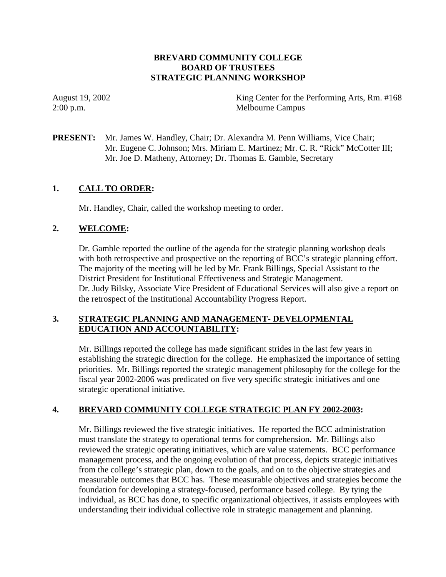### **BREVARD COMMUNITY COLLEGE BOARD OF TRUSTEES STRATEGIC PLANNING WORKSHOP**

August 19, 2002 King Center for the Performing Arts, Rm. #168 2:00 p.m. Melbourne Campus

**PRESENT:** Mr. James W. Handley, Chair; Dr. Alexandra M. Penn Williams, Vice Chair; Mr. Eugene C. Johnson; Mrs. Miriam E. Martinez; Mr. C. R. "Rick" McCotter III; Mr. Joe D. Matheny, Attorney; Dr. Thomas E. Gamble, Secretary

### **1. CALL TO ORDER:**

Mr. Handley, Chair, called the workshop meeting to order.

### **2. WELCOME:**

Dr. Gamble reported the outline of the agenda for the strategic planning workshop deals with both retrospective and prospective on the reporting of BCC's strategic planning effort. The majority of the meeting will be led by Mr. Frank Billings, Special Assistant to the District President for Institutional Effectiveness and Strategic Management. Dr. Judy Bilsky, Associate Vice President of Educational Services will also give a report on the retrospect of the Institutional Accountability Progress Report.

## **3. STRATEGIC PLANNING AND MANAGEMENT- DEVELOPMENTAL EDUCATION AND ACCOUNTABILITY:**

Mr. Billings reported the college has made significant strides in the last few years in establishing the strategic direction for the college. He emphasized the importance of setting priorities. Mr. Billings reported the strategic management philosophy for the college for the fiscal year 2002-2006 was predicated on five very specific strategic initiatives and one strategic operational initiative.

#### **4. BREVARD COMMUNITY COLLEGE STRATEGIC PLAN FY 2002-2003:**

Mr. Billings reviewed the five strategic initiatives. He reported the BCC administration must translate the strategy to operational terms for comprehension. Mr. Billings also reviewed the strategic operating initiatives, which are value statements. BCC performance management process, and the ongoing evolution of that process, depicts strategic initiatives from the college's strategic plan, down to the goals, and on to the objective strategies and measurable outcomes that BCC has. These measurable objectives and strategies become the foundation for developing a strategy-focused, performance based college. By tying the individual, as BCC has done, to specific organizational objectives, it assists employees with understanding their individual collective role in strategic management and planning.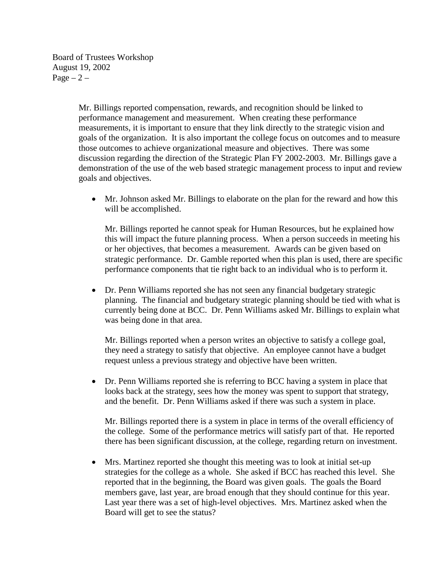Board of Trustees Workshop August 19, 2002  $Page - 2 -$ 

> Mr. Billings reported compensation, rewards, and recognition should be linked to performance management and measurement. When creating these performance measurements, it is important to ensure that they link directly to the strategic vision and goals of the organization. It is also important the college focus on outcomes and to measure those outcomes to achieve organizational measure and objectives. There was some discussion regarding the direction of the Strategic Plan FY 2002-2003. Mr. Billings gave a demonstration of the use of the web based strategic management process to input and review goals and objectives.

• Mr. Johnson asked Mr. Billings to elaborate on the plan for the reward and how this will be accomplished.

Mr. Billings reported he cannot speak for Human Resources, but he explained how this will impact the future planning process. When a person succeeds in meeting his or her objectives, that becomes a measurement. Awards can be given based on strategic performance. Dr. Gamble reported when this plan is used, there are specific performance components that tie right back to an individual who is to perform it.

• Dr. Penn Williams reported she has not seen any financial budgetary strategic planning. The financial and budgetary strategic planning should be tied with what is currently being done at BCC. Dr. Penn Williams asked Mr. Billings to explain what was being done in that area.

Mr. Billings reported when a person writes an objective to satisfy a college goal, they need a strategy to satisfy that objective. An employee cannot have a budget request unless a previous strategy and objective have been written.

• Dr. Penn Williams reported she is referring to BCC having a system in place that looks back at the strategy, sees how the money was spent to support that strategy, and the benefit. Dr. Penn Williams asked if there was such a system in place.

Mr. Billings reported there is a system in place in terms of the overall efficiency of the college. Some of the performance metrics will satisfy part of that. He reported there has been significant discussion, at the college, regarding return on investment.

 $\bullet$  Mrs. Martinez reported she thought this meeting was to look at initial set-up strategies for the college as a whole. She asked if BCC has reached this level. She reported that in the beginning, the Board was given goals. The goals the Board members gave, last year, are broad enough that they should continue for this year. Last year there was a set of high-level objectives. Mrs. Martinez asked when the Board will get to see the status?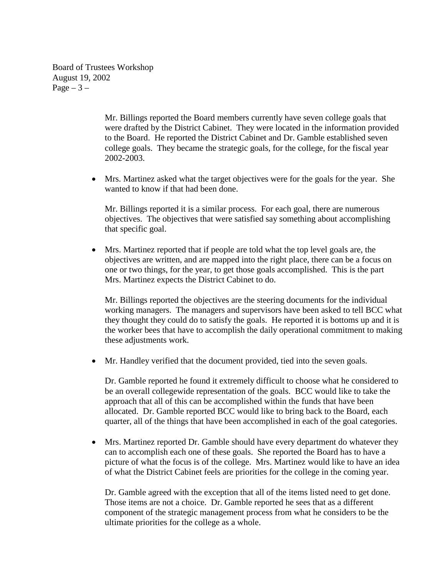Board of Trustees Workshop August 19, 2002 Page  $-3-$ 

> Mr. Billings reported the Board members currently have seven college goals that were drafted by the District Cabinet. They were located in the information provided to the Board. He reported the District Cabinet and Dr. Gamble established seven college goals. They became the strategic goals, for the college, for the fiscal year 2002-2003.

• Mrs. Martinez asked what the target objectives were for the goals for the year. She wanted to know if that had been done.

Mr. Billings reported it is a similar process. For each goal, there are numerous objectives. The objectives that were satisfied say something about accomplishing that specific goal.

- Mrs. Martinez reported that if people are told what the top level goals are, the objectives are written, and are mapped into the right place, there can be a focus on one or two things, for the year, to get those goals accomplished. This is the part Mrs. Martinez expects the District Cabinet to do.

Mr. Billings reported the objectives are the steering documents for the individual working managers. The managers and supervisors have been asked to tell BCC what they thought they could do to satisfy the goals. He reported it is bottoms up and it is the worker bees that have to accomplish the daily operational commitment to making these adjustments work.

- Mr. Handley verified that the document provided, tied into the seven goals.

Dr. Gamble reported he found it extremely difficult to choose what he considered to be an overall collegewide representation of the goals. BCC would like to take the approach that all of this can be accomplished within the funds that have been allocated. Dr. Gamble reported BCC would like to bring back to the Board, each quarter, all of the things that have been accomplished in each of the goal categories.

• Mrs. Martinez reported Dr. Gamble should have every department do whatever they can to accomplish each one of these goals. She reported the Board has to have a picture of what the focus is of the college. Mrs. Martinez would like to have an idea of what the District Cabinet feels are priorities for the college in the coming year.

Dr. Gamble agreed with the exception that all of the items listed need to get done. Those items are not a choice. Dr. Gamble reported he sees that as a different component of the strategic management process from what he considers to be the ultimate priorities for the college as a whole.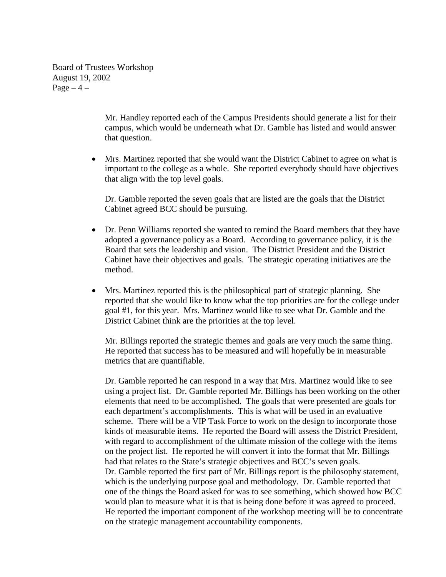Board of Trustees Workshop August 19, 2002 Page  $-4$  –

> Mr. Handley reported each of the Campus Presidents should generate a list for their campus, which would be underneath what Dr. Gamble has listed and would answer that question.

 $\bullet$  Mrs. Martinez reported that she would want the District Cabinet to agree on what is important to the college as a whole. She reported everybody should have objectives that align with the top level goals.

Dr. Gamble reported the seven goals that are listed are the goals that the District Cabinet agreed BCC should be pursuing.

- $\bullet$  Dr. Penn Williams reported she wanted to remind the Board members that they have adopted a governance policy as a Board. According to governance policy, it is the Board that sets the leadership and vision. The District President and the District Cabinet have their objectives and goals. The strategic operating initiatives are the method.
- $\bullet$  Mrs. Martinez reported this is the philosophical part of strategic planning. She reported that she would like to know what the top priorities are for the college under goal #1, for this year. Mrs. Martinez would like to see what Dr. Gamble and the District Cabinet think are the priorities at the top level.

Mr. Billings reported the strategic themes and goals are very much the same thing. He reported that success has to be measured and will hopefully be in measurable metrics that are quantifiable.

Dr. Gamble reported he can respond in a way that Mrs. Martinez would like to see using a project list. Dr. Gamble reported Mr. Billings has been working on the other elements that need to be accomplished. The goals that were presented are goals for each department's accomplishments. This is what will be used in an evaluative scheme. There will be a VIP Task Force to work on the design to incorporate those kinds of measurable items. He reported the Board will assess the District President, with regard to accomplishment of the ultimate mission of the college with the items on the project list. He reported he will convert it into the format that Mr. Billings had that relates to the State's strategic objectives and BCC's seven goals. Dr. Gamble reported the first part of Mr. Billings report is the philosophy statement, which is the underlying purpose goal and methodology. Dr. Gamble reported that one of the things the Board asked for was to see something, which showed how BCC would plan to measure what it is that is being done before it was agreed to proceed. He reported the important component of the workshop meeting will be to concentrate on the strategic management accountability components.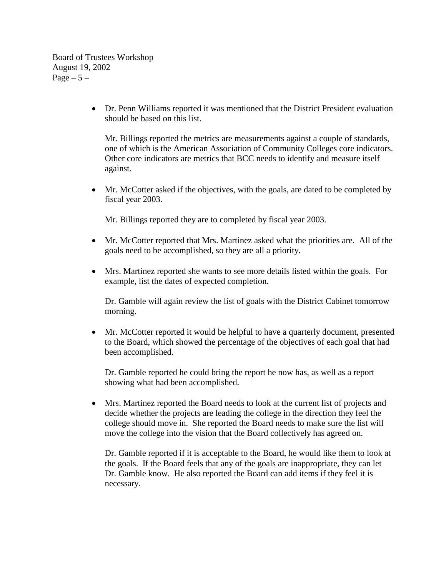Board of Trustees Workshop August 19, 2002 Page  $-5-$ 

> • Dr. Penn Williams reported it was mentioned that the District President evaluation should be based on this list.

Mr. Billings reported the metrics are measurements against a couple of standards, one of which is the American Association of Community Colleges core indicators. Other core indicators are metrics that BCC needs to identify and measure itself against.

• Mr. McCotter asked if the objectives, with the goals, are dated to be completed by fiscal year 2003.

Mr. Billings reported they are to completed by fiscal year 2003.

- $\bullet$  Mr. McCotter reported that Mrs. Martinez asked what the priorities are. All of the goals need to be accomplished, so they are all a priority.
- $\bullet$  Mrs. Martinez reported she wants to see more details listed within the goals. For example, list the dates of expected completion.

Dr. Gamble will again review the list of goals with the District Cabinet tomorrow morning.

 $\bullet$  Mr. McCotter reported it would be helpful to have a quarterly document, presented to the Board, which showed the percentage of the objectives of each goal that had been accomplished.

Dr. Gamble reported he could bring the report he now has, as well as a report showing what had been accomplished.

- Mrs. Martinez reported the Board needs to look at the current list of projects and decide whether the projects are leading the college in the direction they feel the college should move in. She reported the Board needs to make sure the list will move the college into the vision that the Board collectively has agreed on.

Dr. Gamble reported if it is acceptable to the Board, he would like them to look at the goals. If the Board feels that any of the goals are inappropriate, they can let Dr. Gamble know. He also reported the Board can add items if they feel it is necessary.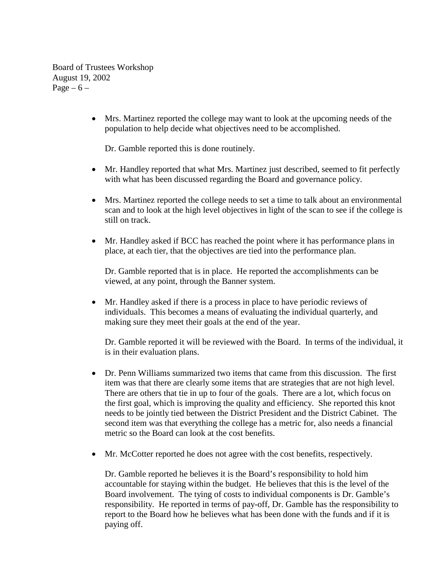Board of Trustees Workshop August 19, 2002 Page –  $6$  –

> - Mrs. Martinez reported the college may want to look at the upcoming needs of the population to help decide what objectives need to be accomplished.

Dr. Gamble reported this is done routinely.

- Mr. Handley reported that what Mrs. Martinez just described, seemed to fit perfectly with what has been discussed regarding the Board and governance policy.
- $\bullet$  Mrs. Martinez reported the college needs to set a time to talk about an environmental scan and to look at the high level objectives in light of the scan to see if the college is still on track.
- Mr. Handley asked if BCC has reached the point where it has performance plans in place, at each tier, that the objectives are tied into the performance plan.

Dr. Gamble reported that is in place. He reported the accomplishments can be viewed, at any point, through the Banner system.

- Mr. Handley asked if there is a process in place to have periodic reviews of individuals. This becomes a means of evaluating the individual quarterly, and making sure they meet their goals at the end of the year.

Dr. Gamble reported it will be reviewed with the Board. In terms of the individual, it is in their evaluation plans.

- Dr. Penn Williams summarized two items that came from this discussion. The first item was that there are clearly some items that are strategies that are not high level. There are others that tie in up to four of the goals. There are a lot, which focus on the first goal, which is improving the quality and efficiency. She reported this knot needs to be jointly tied between the District President and the District Cabinet. The second item was that everything the college has a metric for, also needs a financial metric so the Board can look at the cost benefits.
- Mr. McCotter reported he does not agree with the cost benefits, respectively.

Dr. Gamble reported he believes it is the Board's responsibility to hold him accountable for staying within the budget. He believes that this is the level of the Board involvement. The tying of costs to individual components is Dr. Gamble's responsibility. He reported in terms of pay-off, Dr. Gamble has the responsibility to report to the Board how he believes what has been done with the funds and if it is paying off.